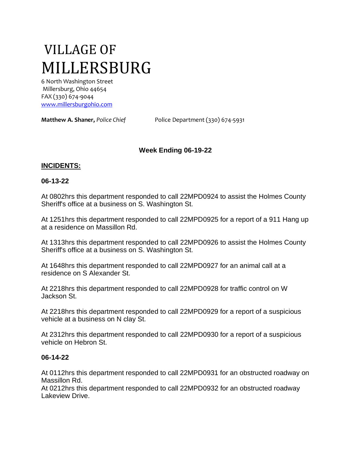# VILLAGE OF MILLERSBURG

6 North Washington Street Millersburg, Ohio 44654 FAX (330) 674-9044 [www.millersburgohio.com](http://www.millersburgohio.com/)

**Matthew A. Shaner,** *Police Chief* Police Department (330) 674-5931

# **Week Ending 06-19-22**

## **INCIDENTS:**

#### **06-13-22**

At 0802hrs this department responded to call 22MPD0924 to assist the Holmes County Sheriff's office at a business on S. Washington St.

At 1251hrs this department responded to call 22MPD0925 for a report of a 911 Hang up at a residence on Massillon Rd.

At 1313hrs this department responded to call 22MPD0926 to assist the Holmes County Sheriff's office at a business on S. Washington St.

At 1648hrs this department responded to call 22MPD0927 for an animal call at a residence on S Alexander St.

At 2218hrs this department responded to call 22MPD0928 for traffic control on W Jackson St.

At 2218hrs this department responded to call 22MPD0929 for a report of a suspicious vehicle at a business on N clay St.

At 2312hrs this department responded to call 22MPD0930 for a report of a suspicious vehicle on Hebron St.

#### **06-14-22**

At 0112hrs this department responded to call 22MPD0931 for an obstructed roadway on Massillon Rd.

At 0212hrs this department responded to call 22MPD0932 for an obstructed roadway Lakeview Drive.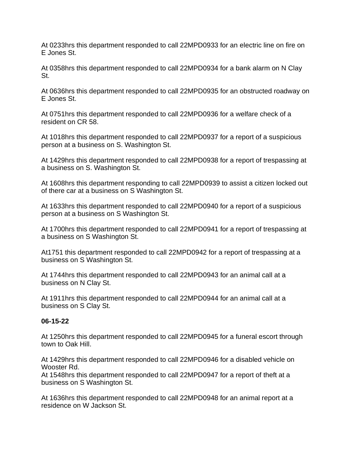At 0233hrs this department responded to call 22MPD0933 for an electric line on fire on E Jones St.

At 0358hrs this department responded to call 22MPD0934 for a bank alarm on N Clay St.

At 0636hrs this department responded to call 22MPD0935 for an obstructed roadway on E Jones St.

At 0751hrs this department responded to call 22MPD0936 for a welfare check of a resident on CR 58.

At 1018hrs this department responded to call 22MPD0937 for a report of a suspicious person at a business on S. Washington St.

At 1429hrs this department responded to call 22MPD0938 for a report of trespassing at a business on S. Washington St.

At 1608hrs this department responding to call 22MPD0939 to assist a citizen locked out of there car at a business on S Washington St.

At 1633hrs this department responded to call 22MPD0940 for a report of a suspicious person at a business on S Washington St.

At 1700hrs this department responded to call 22MPD0941 for a report of trespassing at a business on S Washington St.

At1751 this department responded to call 22MPD0942 for a report of trespassing at a business on S Washington St.

At 1744hrs this department responded to call 22MPD0943 for an animal call at a business on N Clay St.

At 1911hrs this department responded to call 22MPD0944 for an animal call at a business on S Clay St.

## **06-15-22**

At 1250hrs this department responded to call 22MPD0945 for a funeral escort through town to Oak Hill.

At 1429hrs this department responded to call 22MPD0946 for a disabled vehicle on Wooster Rd.

At 1548hrs this department responded to call 22MPD0947 for a report of theft at a business on S Washington St.

At 1636hrs this department responded to call 22MPD0948 for an animal report at a residence on W Jackson St.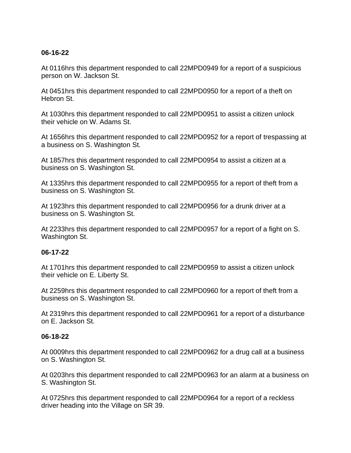## **06-16-22**

At 0116hrs this department responded to call 22MPD0949 for a report of a suspicious person on W. Jackson St.

At 0451hrs this department responded to call 22MPD0950 for a report of a theft on Hebron St.

At 1030hrs this department responded to call 22MPD0951 to assist a citizen unlock their vehicle on W. Adams St.

At 1656hrs this department responded to call 22MPD0952 for a report of trespassing at a business on S. Washington St.

At 1857hrs this department responded to call 22MPD0954 to assist a citizen at a business on S. Washington St.

At 1335hrs this department responded to call 22MPD0955 for a report of theft from a business on S. Washington St.

At 1923hrs this department responded to call 22MPD0956 for a drunk driver at a business on S. Washington St.

At 2233hrs this department responded to call 22MPD0957 for a report of a fight on S. Washington St.

## **06-17-22**

At 1701hrs this department responded to call 22MPD0959 to assist a citizen unlock their vehicle on E. Liberty St.

At 2259hrs this department responded to call 22MPD0960 for a report of theft from a business on S. Washington St.

At 2319hrs this department responded to call 22MPD0961 for a report of a disturbance on E. Jackson St.

## **06-18-22**

At 0009hrs this department responded to call 22MPD0962 for a drug call at a business on S. Washington St.

At 0203hrs this department responded to call 22MPD0963 for an alarm at a business on S. Washington St.

At 0725hrs this department responded to call 22MPD0964 for a report of a reckless driver heading into the Village on SR 39.